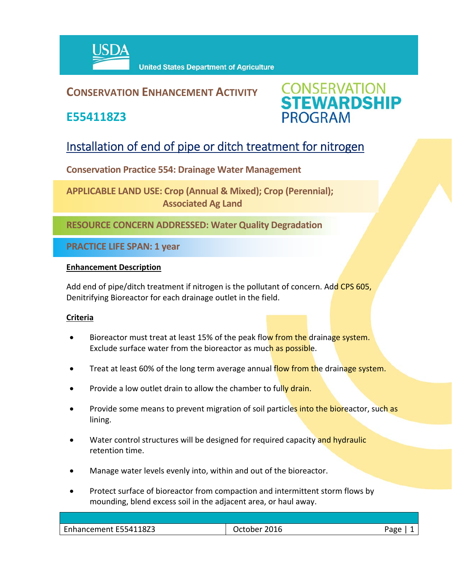

**United States Department of Agriculture** 

## **CONSERVATION ENHANCEMENT ACTIVITY**

**E554118Z3**



# Installation of end of pipe or ditch treatment for nitrogen

**Conservation Practice 554: Drainage Water Management** 

**APPLICABLE LAND USE: Crop (Annual & Mixed); Crop (Perennial); Associated Ag Land**

**RESOURCE CONCERN ADDRESSED: Water Quality Degradation**

**PRACTICE LIFE SPAN: 1 year**

### **Enhancement Description**

Add end of pipe/ditch treatment if nitrogen is the pollutant of concern. Add CPS 605, Denitrifying Bioreactor for each drainage outlet in the field.

### **Criteria**

- Bioreactor must treat at least 15% of the peak flow from the drainage system. Exclude surface water from the bioreactor as much as possible.
- Treat at least 60% of the long term average annual flow from the drainage system.
- Provide a low outlet drain to allow the chamber to fully drain.
- Provide some means to prevent migration of soil particles into the bioreactor, such as lining.
- Water control structures will be designed for required capacity and hydraulic retention time.
- Manage water levels evenly into, within and out of the bioreactor.
- Protect surface of bioreactor from compaction and intermittent storm flows by mounding, blend excess soil in the adjacent area, or haul away.

| 18Z3<br>Enhancement E5541 | . Ictober. | חסבי |
|---------------------------|------------|------|